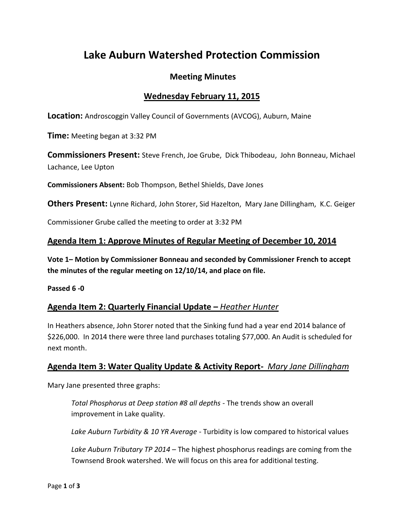# **Lake Auburn Watershed Protection Commission**

## **Meeting Minutes**

## **Wednesday February 11, 2015**

**Location:** Androscoggin Valley Council of Governments (AVCOG), Auburn, Maine

**Time:** Meeting began at 3:32 PM

**Commissioners Present:** Steve French, Joe Grube, Dick Thibodeau, John Bonneau, Michael Lachance, Lee Upton

**Commissioners Absent:** Bob Thompson, Bethel Shields, Dave Jones

**Others Present:** Lynne Richard, John Storer, Sid Hazelton, Mary Jane Dillingham, K.C. Geiger

Commissioner Grube called the meeting to order at 3:32 PM

## **Agenda Item 1: Approve Minutes of Regular Meeting of December 10, 2014**

**Vote 1– Motion by Commissioner Bonneau and seconded by Commissioner French to accept the minutes of the regular meeting on 12/10/14, and place on file.**

**Passed 6 -0**

## **Agenda Item 2: Quarterly Financial Update –** *Heather Hunter*

In Heathers absence, John Storer noted that the Sinking fund had a year end 2014 balance of \$226,000. In 2014 there were three land purchases totaling \$77,000. An Audit is scheduled for next month.

## **Agenda Item 3: Water Quality Update & Activity Report-** *Mary Jane Dillingham*

Mary Jane presented three graphs:

*Total Phosphorus at Deep station #8 all depths* - The trends show an overall improvement in Lake quality.

*Lake Auburn Turbidity & 10 YR Average* - Turbidity is low compared to historical values

*Lake Auburn Tributary TP 2014* – The highest phosphorus readings are coming from the Townsend Brook watershed. We will focus on this area for additional testing.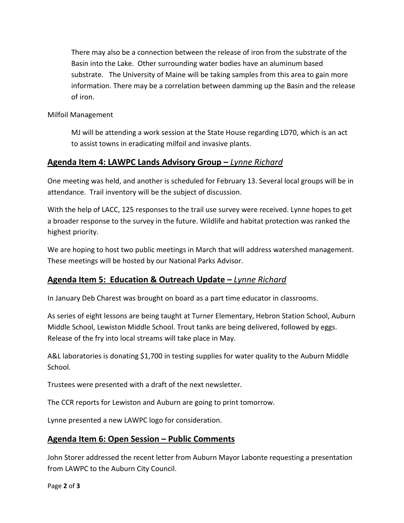There may also be a connection between the release of iron from the substrate of the Basin into the Lake. Other surrounding water bodies have an aluminum based substrate. The University of Maine will be taking samples from this area to gain more information. There may be a correlation between damming up the Basin and the release of iron.

Milfoil Management

MJ will be attending a work session at the State House regarding LD70, which is an act to assist towns in eradicating milfoil and invasive plants.

## **Agenda Item 4: LAWPC Lands Advisory Group –** *Lynne Richard*

One meeting was held, and another is scheduled for February 13. Several local groups will be in attendance. Trail inventory will be the subject of discussion.

With the help of LACC, 125 responses to the trail use survey were received. Lynne hopes to get a broader response to the survey in the future. Wildlife and habitat protection was ranked the highest priority.

We are hoping to host two public meetings in March that will address watershed management. These meetings will be hosted by our National Parks Advisor.

## **Agenda Item 5: Education & Outreach Update –** *Lynne Richard*

In January Deb Charest was brought on board as a part time educator in classrooms.

As series of eight lessons are being taught at Turner Elementary, Hebron Station School, Auburn Middle School, Lewiston Middle School. Trout tanks are being delivered, followed by eggs. Release of the fry into local streams will take place in May.

A&L laboratories is donating \$1,700 in testing supplies for water quality to the Auburn Middle School.

Trustees were presented with a draft of the next newsletter.

The CCR reports for Lewiston and Auburn are going to print tomorrow.

Lynne presented a new LAWPC logo for consideration.

#### **Agenda Item 6: Open Session – Public Comments**

John Storer addressed the recent letter from Auburn Mayor Labonte requesting a presentation from LAWPC to the Auburn City Council.

Page **2** of **3**